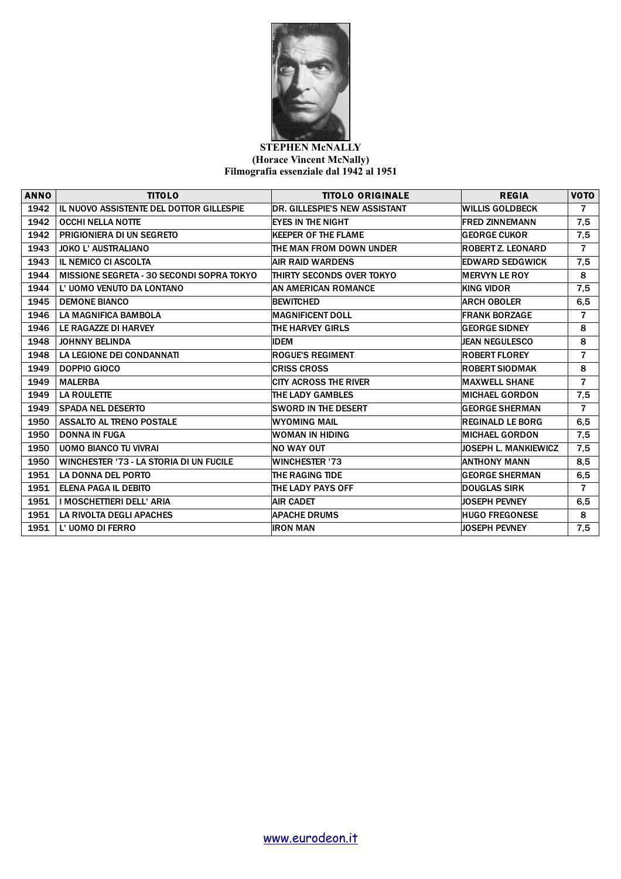

## **STEPHEN McNALLY (Horace Vincent McNally) Filmografia essenziale dal 1942 al 1951**

| <b>ANNO</b> | <b>TITOLO</b>                                  | <b>TITOLO ORIGINALE</b>              | <b>REGIA</b>                | <b>VOTO</b>    |
|-------------|------------------------------------------------|--------------------------------------|-----------------------------|----------------|
| 1942        | IL NUOVO ASSISTENTE DEL DOTTOR GILLESPIE       | <b>DR. GILLESPIE'S NEW ASSISTANT</b> | <b>WILLIS GOLDBECK</b>      | $\overline{7}$ |
| 1942        | <b>OCCHI NELLA NOTTE</b>                       | EYES IN THE NIGHT                    | <b>FRED ZINNEMANN</b>       | 7,5            |
| 1942        | PRIGIONIERA DI UN SEGRETO                      | <b>KEEPER OF THE FLAME</b>           | <b>GEORGE CUKOR</b>         | 7,5            |
| 1943        | <b>JOKO L' AUSTRALIANO</b>                     | THE MAN FROM DOWN UNDER              | ROBERT Z. LEONARD           | $\overline{7}$ |
| 1943        | IL NEMICO CI ASCOLTA                           | <b>AIR RAID WARDENS</b>              | <b>EDWARD SEDGWICK</b>      | 7,5            |
| 1944        | MISSIONE SEGRETA - 30 SECONDI SOPRA TOKYO      | THIRTY SECONDS OVER TOKYO            | <b>MERVYN LE ROY</b>        | 8              |
| 1944        | L' UOMO VENUTO DA LONTANO                      | AN AMERICAN ROMANCE                  | <b>KING VIDOR</b>           | 7,5            |
| 1945        | <b>DEMONE BIANCO</b>                           | <b>BEWITCHED</b>                     | <b>ARCH OBOLER</b>          | 6,5            |
| 1946        | <b>LA MAGNIFICA BAMBOLA</b>                    | <b>IMAGNIFICENT DOLL</b>             | <b>FRANK BORZAGE</b>        | 7              |
| 1946        | LE RAGAZZE DI HARVEY                           | <b>THE HARVEY GIRLS</b>              | <b>GEORGE SIDNEY</b>        | 8              |
| 1948        | <b>JOHNNY BELINDA</b>                          | <b>IDEM</b>                          | <b>JEAN NEGULESCO</b>       | 8              |
| 1948        | LA LEGIONE DEI CONDANNATI                      | <b>ROGUE'S REGIMENT</b>              | <b>ROBERT FLOREY</b>        | 7              |
| 1949        | DOPPIO GIOCO                                   | <b>CRISS CROSS</b>                   | <b>ROBERT SIODMAK</b>       | 8              |
| 1949        | <b>MALERBA</b>                                 | <b>CITY ACROSS THE RIVER</b>         | <b>MAXWELL SHANE</b>        | 7              |
| 1949        | <b>LA ROULETTE</b>                             | <b>THE LADY GAMBLES</b>              | <b>IMICHAEL GORDON</b>      | 7,5            |
| 1949        | <b>SPADA NEL DESERTO</b>                       | <b>SWORD IN THE DESERT</b>           | <b>GEORGE SHERMAN</b>       | $\overline{7}$ |
| 1950        | <b>ASSALTO AL TRENO POSTALE</b>                | WYOMING MAIL                         | <b>REGINALD LE BORG</b>     | 6,5            |
| 1950        | <b>DONNA IN FUGA</b>                           | WOMAN IN HIDING                      | <b>MICHAEL GORDON</b>       | 7,5            |
| 1950        | <b>UOMO BIANCO TU VIVRAI</b>                   | INO WAY OUT                          | <b>JOSEPH L. MANKIEWICZ</b> | 7,5            |
| 1950        | <b>WINCHESTER '73 - LA STORIA DI UN FUCILE</b> | <b>WINCHESTER '73</b>                | <b>ANTHONY MANN</b>         | 8,5            |
| 1951        | <b>LA DONNA DEL PORTO</b>                      | THE RAGING TIDE                      | <b>GEORGE SHERMAN</b>       | 6,5            |
| 1951        | <b>ELENA PAGA IL DEBITO</b>                    | THE LADY PAYS OFF                    | <b>DOUGLAS SIRK</b>         | $\overline{7}$ |
| 1951        | I MOSCHETTIERI DELL' ARIA                      | <b>AIR CADET</b>                     | <b>JOSEPH PEVNEY</b>        | 6,5            |
| 1951        | LA RIVOLTA DEGLI APACHES                       | <b>APACHE DRUMS</b>                  | <b>HUGO FREGONESE</b>       | 8              |
| 1951        | L' UOMO DI FERRO                               | <b>IRON MAN</b>                      | <b>JOSEPH PEVNEY</b>        | 7,5            |